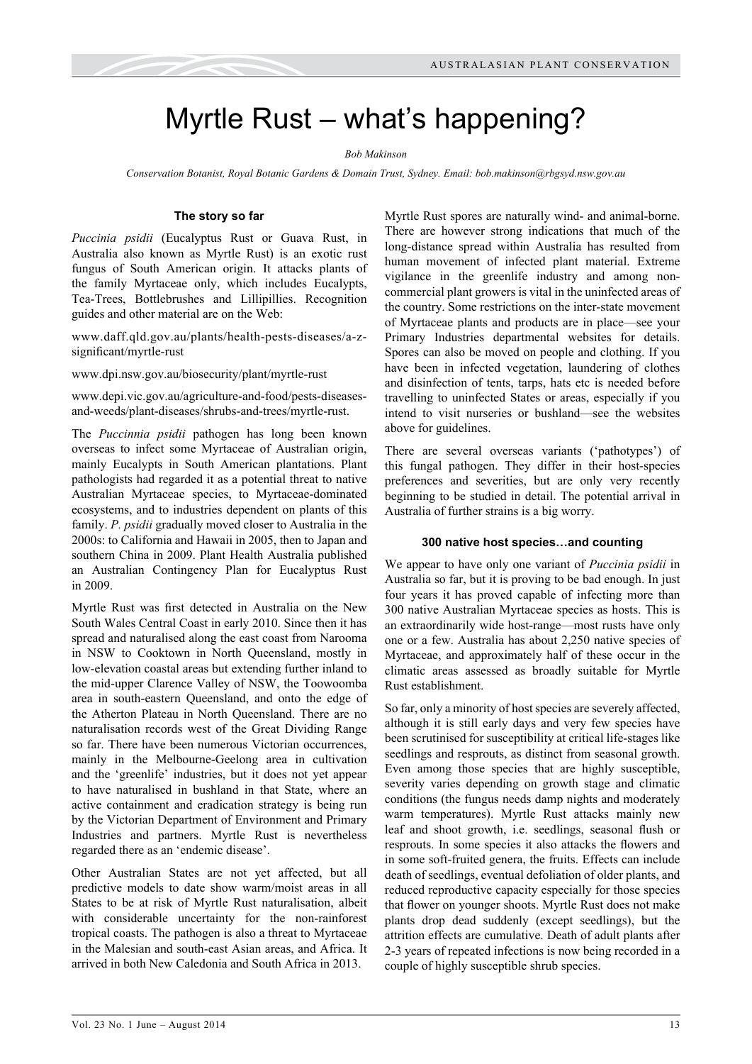# Myrtle Rust – what's happening?

#### *Bob Makinson*

*Conservation Botanist, Royal Botanic Gardens & Domain Trust, Sydney. Email: [bob.makinson@rbgsyd.nsw.gov.au](mailto:bob.makinson@rbgsyd.nsw.gov.au)*

### **The story so far**

*Puccinia psidii* (Eucalyptus Rust or Guava Rust, in Australia also known as Myrtle Rust) is an exotic rust fungus of South American origin. It attacks plants of the family Myrtaceae only, which includes Eucalypts, Tea-Trees, Bottlebrushes and Lillipillies. Recognition guides and other material are on the Web:

[www.daff.qld.gov.au/plants/health-pests-diseases/a-z](http://www.daff.qld.gov.au/plants/health-pests-diseases/a-z-significant/myrtle-rust)[significant/myrtle-rust](http://www.daff.qld.gov.au/plants/health-pests-diseases/a-z-significant/myrtle-rust)

[www.dpi.nsw.gov.au/biosecurity/plant/myrtle-rust](http://www.dpi.nsw.gov.au/biosecurity/plant/myrtle-rust)

[www.depi.vic.gov.au/agriculture-and-food/pests-diseases](http://www.depi.vic.gov.au/agriculture-and-food/pests-diseases-and-weeds/plant-diseases/shrubs-and-trees/myrtle-rust)[and-weeds/plant-diseases/shrubs-and-trees/myrtle-rust](http://www.depi.vic.gov.au/agriculture-and-food/pests-diseases-and-weeds/plant-diseases/shrubs-and-trees/myrtle-rust).

The *Puccinnia psidii* pathogen has long been known overseas to infect some Myrtaceae of Australian origin, mainly Eucalypts in South American plantations. Plant pathologists had regarded it as a potential threat to native Australian Myrtaceae species, to Myrtaceae-dominated ecosystems, and to industries dependent on plants of this family. *P. psidii* gradually moved closer to Australia in the 2000s: to California and Hawaii in 2005, then to Japan and southern China in 2009. Plant Health Australia published an Australian Contingency Plan for Eucalyptus Rust in 2009.

Myrtle Rust was first detected in Australia on the New South Wales Central Coast in early 2010. Since then it has spread and naturalised along the east coast from Narooma in NSW to Cooktown in North Queensland, mostly in low-elevation coastal areas but extending further inland to the mid-upper Clarence Valley of NSW, the Toowoomba area in south-eastern Queensland, and onto the edge of the Atherton Plateau in North Queensland. There are no naturalisation records west of the Great Dividing Range so far. There have been numerous Victorian occurrences, mainly in the Melbourne-Geelong area in cultivation and the 'greenlife' industries, but it does not yet appear to have naturalised in bushland in that State, where an active containment and eradication strategy is being run by the Victorian Department of Environment and Primary Industries and partners. Myrtle Rust is nevertheless regarded there as an 'endemic disease'.

Other Australian States are not yet affected, but all predictive models to date show warm/moist areas in all States to be at risk of Myrtle Rust naturalisation, albeit with considerable uncertainty for the non-rainforest tropical coasts. The pathogen is also a threat to Myrtaceae in the Malesian and south-east Asian areas, and Africa. It arrived in both New Caledonia and South Africa in 2013.

Myrtle Rust spores are naturally wind- and animal-borne. There are however strong indications that much of the long-distance spread within Australia has resulted from human movement of infected plant material. Extreme vigilance in the greenlife industry and among noncommercial plant growers is vital in the uninfected areas of the country. Some restrictions on the inter-state movement of Myrtaceae plants and products are in place—see your Primary Industries departmental websites for details. Spores can also be moved on people and clothing. If you have been in infected vegetation, laundering of clothes and disinfection of tents, tarps, hats etc is needed before travelling to uninfected States or areas, especially if you intend to visit nurseries or bushland—see the websites above for guidelines.

There are several overseas variants ('pathotypes') of this fungal pathogen. They differ in their host-species preferences and severities, but are only very recently beginning to be studied in detail. The potential arrival in Australia of further strains is a big worry.

### **300 native host species…and counting**

We appear to have only one variant of *Puccinia psidii* in Australia so far, but it is proving to be bad enough. In just four years it has proved capable of infecting more than 300 native Australian Myrtaceae species as hosts. This is an extraordinarily wide host-range—most rusts have only one or a few. Australia has about 2,250 native species of Myrtaceae, and approximately half of these occur in the climatic areas assessed as broadly suitable for Myrtle Rust establishment.

So far, only a minority of host species are severely affected, although it is still early days and very few species have been scrutinised for susceptibility at critical life-stages like seedlings and resprouts, as distinct from seasonal growth. Even among those species that are highly susceptible, severity varies depending on growth stage and climatic conditions (the fungus needs damp nights and moderately warm temperatures). Myrtle Rust attacks mainly new leaf and shoot growth, i.e. seedlings, seasonal flush or resprouts. In some species it also attacks the flowers and in some soft-fruited genera, the fruits. Effects can include death of seedlings, eventual defoliation of older plants, and reduced reproductive capacity especially for those species that flower on younger shoots. Myrtle Rust does not make plants drop dead suddenly (except seedlings), but the attrition effects are cumulative. Death of adult plants after 2-3 years of repeated infections is now being recorded in a couple of highly susceptible shrub species.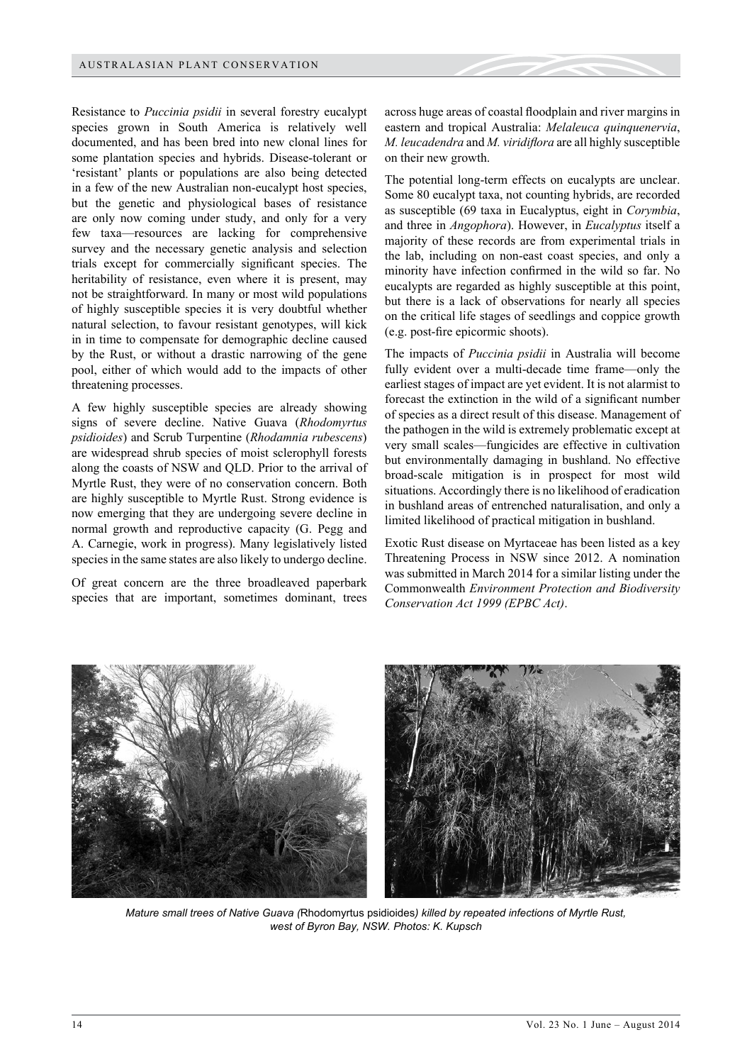Resistance to *Puccinia psidii* in several forestry eucalypt species grown in South America is relatively well documented, and has been bred into new clonal lines for some plantation species and hybrids. Disease-tolerant or 'resistant' plants or populations are also being detected in a few of the new Australian non-eucalypt host species, but the genetic and physiological bases of resistance are only now coming under study, and only for a very few taxa—resources are lacking for comprehensive survey and the necessary genetic analysis and selection trials except for commercially significant species. The heritability of resistance, even where it is present, may not be straightforward. In many or most wild populations of highly susceptible species it is very doubtful whether natural selection, to favour resistant genotypes, will kick in in time to compensate for demographic decline caused by the Rust, or without a drastic narrowing of the gene pool, either of which would add to the impacts of other threatening processes.

A few highly susceptible species are already showing signs of severe decline. Native Guava (*Rhodomyrtus psidioides*) and Scrub Turpentine (*Rhodamnia rubescens*) are widespread shrub species of moist sclerophyll forests along the coasts of NSW and QLD. Prior to the arrival of Myrtle Rust, they were of no conservation concern. Both are highly susceptible to Myrtle Rust. Strong evidence is now emerging that they are undergoing severe decline in normal growth and reproductive capacity (G. Pegg and A. Carnegie, work in progress). Many legislatively listed species in the same states are also likely to undergo decline.

Of great concern are the three broadleaved paperbark species that are important, sometimes dominant, trees

across huge areas of coastal floodplain and river margins in eastern and tropical Australia: *Melaleuca quinquenervia*, *M. leucadendra* and *M. viridiflora* are all highly susceptible on their new growth.

The potential long-term effects on eucalypts are unclear. Some 80 eucalypt taxa, not counting hybrids, are recorded as susceptible (69 taxa in Eucalyptus, eight in *Corymbia*, and three in *Angophora*). However, in *Eucalyptus* itself a majority of these records are from experimental trials in the lab, including on non-east coast species, and only a minority have infection confirmed in the wild so far. No eucalypts are regarded as highly susceptible at this point, but there is a lack of observations for nearly all species on the critical life stages of seedlings and coppice growth (e.g. post-fire epicormic shoots).

The impacts of *Puccinia psidii* in Australia will become fully evident over a multi-decade time frame—only the earliest stages of impact are yet evident. It is not alarmist to forecast the extinction in the wild of a significant number of species as a direct result of this disease. Management of the pathogen in the wild is extremely problematic except at very small scales—fungicides are effective in cultivation but environmentally damaging in bushland. No effective broad-scale mitigation is in prospect for most wild situations. Accordingly there is no likelihood of eradication in bushland areas of entrenched naturalisation, and only a limited likelihood of practical mitigation in bushland.

Exotic Rust disease on Myrtaceae has been listed as a key Threatening Process in NSW since 2012. A nomination was submitted in March 2014 for a similar listing under the Commonwealth *Environment Protection and Biodiversity Conservation Act 1999 (EPBC Act)*.



*Mature small trees of Native Guava (*Rhodomyrtus psidioides*) killed by repeated infections of Myrtle Rust, west of Byron Bay, NSW. Photos: K. Kupsch*